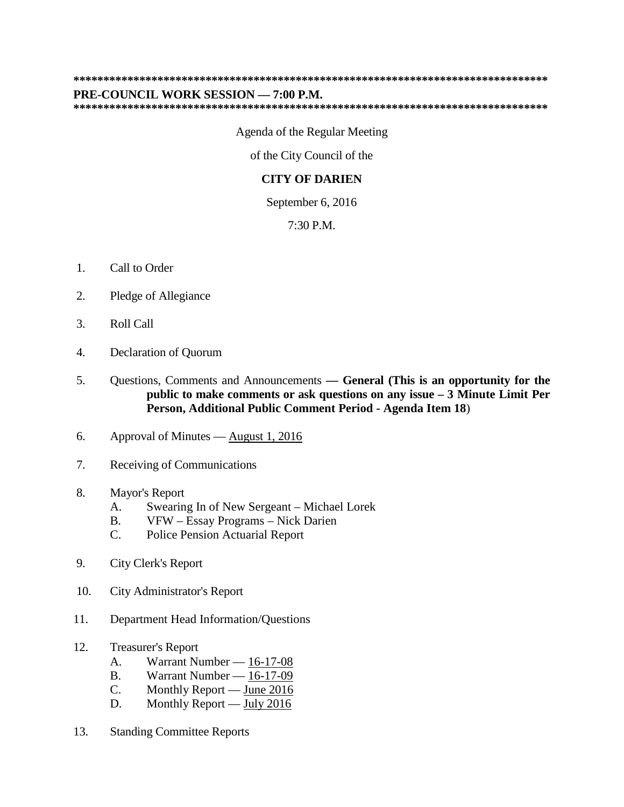## **\*\*\*\*\*\*\*\*\*\*\*\*\*\*\*\*\*\*\*\*\*\*\*\*\*\*\*\*\*\*\*\*\*\*\*\*\*\*\*\*\*\*\*\*\*\*\*\*\*\*\*\*\*\*\*\*\*\*\*\*\*\*\*\*\*\*\*\*\*\*\*\*\*\*\*\*\*\*\***

## **PRE-COUNCIL WORK SESSION — 7:00 P.M.**

**\*\*\*\*\*\*\*\*\*\*\*\*\*\*\*\*\*\*\*\*\*\*\*\*\*\*\*\*\*\*\*\*\*\*\*\*\*\*\*\*\*\*\*\*\*\*\*\*\*\*\*\*\*\*\*\*\*\*\*\*\*\*\*\*\*\*\*\*\*\*\*\*\*\*\*\*\*\*\***

Agenda of the Regular Meeting

of the City Council of the

## **CITY OF DARIEN**

September 6, 2016

7:30 P.M.

- 1. Call to Order
- 2. Pledge of Allegiance
- 3. Roll Call
- 4. Declaration of Quorum
- 5. Questions, Comments and Announcements **— General (This is an opportunity for the public to make comments or ask questions on any issue – 3 Minute Limit Per Person, Additional Public Comment Period - Agenda Item 18**)
- 6. Approval of Minutes August 1, 2016
- 7. Receiving of Communications
- 8. Mayor's Report
	- A. Swearing In of New Sergeant Michael Lorek
	- B. VFW Essay Programs Nick Darien
	- C. Police Pension Actuarial Report
- 9. City Clerk's Report
- 10. City Administrator's Report
- 11. Department Head Information/Questions
- 12. Treasurer's Report
	- A. Warrant Number 16-17-08
	- B. Warrant Number 16-17-09
	- C. Monthly Report June 2016
	- D. Monthly Report July 2016
- 13. Standing Committee Reports